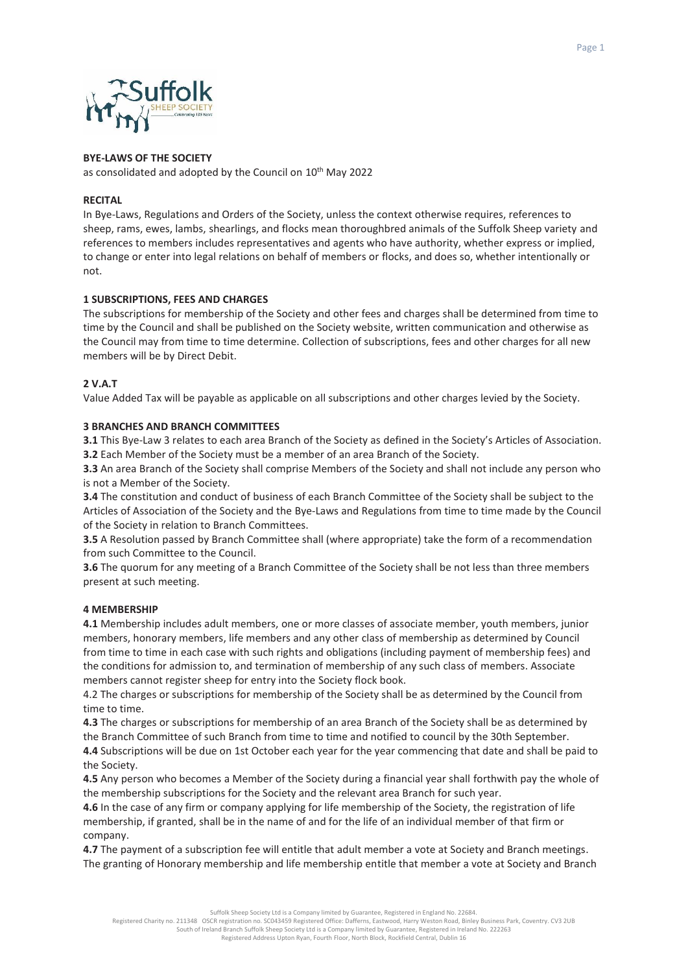



# **BYE-LAWS OF THE SOCIETY**

as consolidated and adopted by the Council on 10<sup>th</sup> May 2022

### **RECITAL**

In Bye-Laws, Regulations and Orders of the Society, unless the context otherwise requires, references to sheep, rams, ewes, lambs, shearlings, and flocks mean thoroughbred animals of the Suffolk Sheep variety and references to members includes representatives and agents who have authority, whether express or implied, to change or enter into legal relations on behalf of members or flocks, and does so, whether intentionally or not.

## **1 SUBSCRIPTIONS, FEES AND CHARGES**

The subscriptions for membership of the Society and other fees and charges shall be determined from time to time by the Council and shall be published on the Society website, written communication and otherwise as the Council may from time to time determine. Collection of subscriptions, fees and other charges for all new members will be by Direct Debit.

## **2 V.A.T**

Value Added Tax will be payable as applicable on all subscriptions and other charges levied by the Society.

## **3 BRANCHES AND BRANCH COMMITTEES**

**3.1** This Bye-Law 3 relates to each area Branch of the Society as defined in the Society's Articles of Association. **3.2** Each Member of the Society must be a member of an area Branch of the Society.

**3.3** An area Branch of the Society shall comprise Members of the Society and shall not include any person who is not a Member of the Society.

**3.4** The constitution and conduct of business of each Branch Committee of the Society shall be subject to the Articles of Association of the Society and the Bye-Laws and Regulations from time to time made by the Council of the Society in relation to Branch Committees.

**3.5** A Resolution passed by Branch Committee shall (where appropriate) take the form of a recommendation from such Committee to the Council.

**3.6** The quorum for any meeting of a Branch Committee of the Society shall be not less than three members present at such meeting.

## **4 MEMBERSHIP**

**4.1** Membership includes adult members, one or more classes of associate member, youth members, junior members, honorary members, life members and any other class of membership as determined by Council from time to time in each case with such rights and obligations (including payment of membership fees) and the conditions for admission to, and termination of membership of any such class of members. Associate members cannot register sheep for entry into the Society flock book.

4.2 The charges or subscriptions for membership of the Society shall be as determined by the Council from time to time.

**4.3** The charges or subscriptions for membership of an area Branch of the Society shall be as determined by the Branch Committee of such Branch from time to time and notified to council by the 30th September.

**4.4** Subscriptions will be due on 1st October each year for the year commencing that date and shall be paid to the Society.

**4.5** Any person who becomes a Member of the Society during a financial year shall forthwith pay the whole of the membership subscriptions for the Society and the relevant area Branch for such year.

**4.6** In the case of any firm or company applying for life membership of the Society, the registration of life membership, if granted, shall be in the name of and for the life of an individual member of that firm or company.

**4.7** The payment of a subscription fee will entitle that adult member a vote at Society and Branch meetings. The granting of Honorary membership and life membership entitle that member a vote at Society and Branch

Suffolk Sheep Society Ltd is a Company limited by Guarantee, Registered in England No. 22684.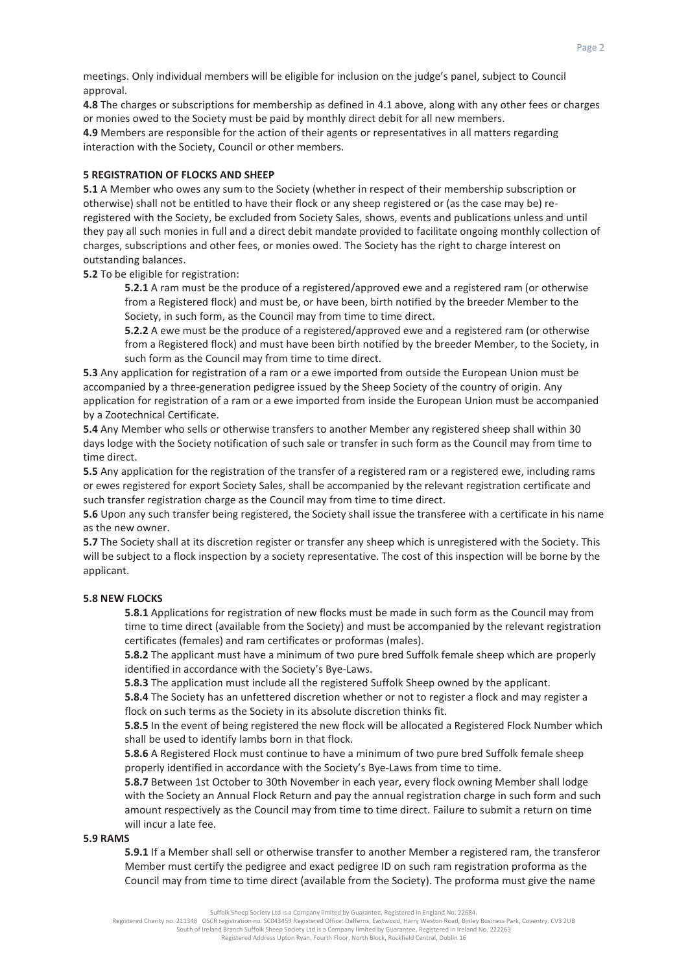meetings. Only individual members will be eligible for inclusion on the judge's panel, subject to Council approval.

**4.8** The charges or subscriptions for membership as defined in 4.1 above, along with any other fees or charges or monies owed to the Society must be paid by monthly direct debit for all new members.

**4.9** Members are responsible for the action of their agents or representatives in all matters regarding interaction with the Society, Council or other members.

### **5 REGISTRATION OF FLOCKS AND SHEEP**

**5.1** A Member who owes any sum to the Society (whether in respect of their membership subscription or otherwise) shall not be entitled to have their flock or any sheep registered or (as the case may be) reregistered with the Society, be excluded from Society Sales, shows, events and publications unless and until they pay all such monies in full and a direct debit mandate provided to facilitate ongoing monthly collection of charges, subscriptions and other fees, or monies owed. The Society has the right to charge interest on outstanding balances.

**5.2** To be eligible for registration:

**5.2.1** A ram must be the produce of a registered/approved ewe and a registered ram (or otherwise from a Registered flock) and must be, or have been, birth notified by the breeder Member to the Society, in such form, as the Council may from time to time direct.

**5.2.2** A ewe must be the produce of a registered/approved ewe and a registered ram (or otherwise from a Registered flock) and must have been birth notified by the breeder Member, to the Society, in such form as the Council may from time to time direct.

**5.3** Any application for registration of a ram or a ewe imported from outside the European Union must be accompanied by a three-generation pedigree issued by the Sheep Society of the country of origin. Any application for registration of a ram or a ewe imported from inside the European Union must be accompanied by a Zootechnical Certificate.

**5.4** Any Member who sells or otherwise transfers to another Member any registered sheep shall within 30 days lodge with the Society notification of such sale or transfer in such form as the Council may from time to time direct.

**5.5** Any application for the registration of the transfer of a registered ram or a registered ewe, including rams or ewes registered for export Society Sales, shall be accompanied by the relevant registration certificate and such transfer registration charge as the Council may from time to time direct.

**5.6** Upon any such transfer being registered, the Society shall issue the transferee with a certificate in his name as the new owner.

**5.7** The Society shall at its discretion register or transfer any sheep which is unregistered with the Society. This will be subject to a flock inspection by a society representative. The cost of this inspection will be borne by the applicant.

#### **5.8 NEW FLOCKS**

**5.8.1** Applications for registration of new flocks must be made in such form as the Council may from time to time direct (available from the Society) and must be accompanied by the relevant registration certificates (females) and ram certificates or proformas (males).

**5.8.2** The applicant must have a minimum of two pure bred Suffolk female sheep which are properly identified in accordance with the Society's Bye-Laws.

**5.8.3** The application must include all the registered Suffolk Sheep owned by the applicant.

**5.8.4** The Society has an unfettered discretion whether or not to register a flock and may register a flock on such terms as the Society in its absolute discretion thinks fit.

**5.8.5** In the event of being registered the new flock will be allocated a Registered Flock Number which shall be used to identify lambs born in that flock.

**5.8.6** A Registered Flock must continue to have a minimum of two pure bred Suffolk female sheep properly identified in accordance with the Society's Bye-Laws from time to time.

**5.8.7** Between 1st October to 30th November in each year, every flock owning Member shall lodge with the Society an Annual Flock Return and pay the annual registration charge in such form and such amount respectively as the Council may from time to time direct. Failure to submit a return on time will incur a late fee.

#### **5.9 RAMS**

**5.9.1** If a Member shall sell or otherwise transfer to another Member a registered ram, the transferor Member must certify the pedigree and exact pedigree ID on such ram registration proforma as the Council may from time to time direct (available from the Society). The proforma must give the name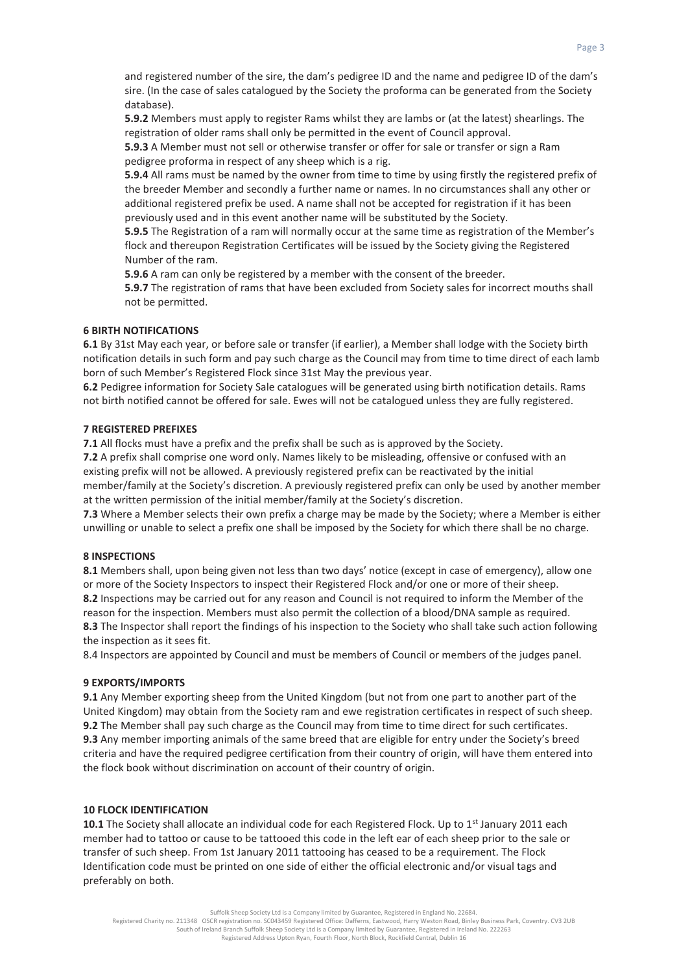and registered number of the sire, the dam's pedigree ID and the name and pedigree ID of the dam's sire. (In the case of sales catalogued by the Society the proforma can be generated from the Society database).

**5.9.2** Members must apply to register Rams whilst they are lambs or (at the latest) shearlings. The registration of older rams shall only be permitted in the event of Council approval.

**5.9.3** A Member must not sell or otherwise transfer or offer for sale or transfer or sign a Ram pedigree proforma in respect of any sheep which is a rig.

**5.9.4** All rams must be named by the owner from time to time by using firstly the registered prefix of the breeder Member and secondly a further name or names. In no circumstances shall any other or additional registered prefix be used. A name shall not be accepted for registration if it has been previously used and in this event another name will be substituted by the Society.

**5.9.5** The Registration of a ram will normally occur at the same time as registration of the Member's flock and thereupon Registration Certificates will be issued by the Society giving the Registered Number of the ram.

**5.9.6** A ram can only be registered by a member with the consent of the breeder.

**5.9.7** The registration of rams that have been excluded from Society sales for incorrect mouths shall not be permitted.

### **6 BIRTH NOTIFICATIONS**

**6.1** By 31st May each year, or before sale or transfer (if earlier), a Member shall lodge with the Society birth notification details in such form and pay such charge as the Council may from time to time direct of each lamb born of such Member's Registered Flock since 31st May the previous year.

**6.2** Pedigree information for Society Sale catalogues will be generated using birth notification details. Rams not birth notified cannot be offered for sale. Ewes will not be catalogued unless they are fully registered.

### **7 REGISTERED PREFIXES**

**7.1** All flocks must have a prefix and the prefix shall be such as is approved by the Society.

**7.2** A prefix shall comprise one word only. Names likely to be misleading, offensive or confused with an existing prefix will not be allowed. A previously registered prefix can be reactivated by the initial member/family at the Society's discretion. A previously registered prefix can only be used by another member at the written permission of the initial member/family at the Society's discretion.

**7.3** Where a Member selects their own prefix a charge may be made by the Society; where a Member is either unwilling or unable to select a prefix one shall be imposed by the Society for which there shall be no charge.

# **8 INSPECTIONS**

**8.1** Members shall, upon being given not less than two days' notice (except in case of emergency), allow one or more of the Society Inspectors to inspect their Registered Flock and/or one or more of their sheep. **8.2** Inspections may be carried out for any reason and Council is not required to inform the Member of the reason for the inspection. Members must also permit the collection of a blood/DNA sample as required. **8.3** The Inspector shall report the findings of his inspection to the Society who shall take such action following the inspection as it sees fit.

8.4 Inspectors are appointed by Council and must be members of Council or members of the judges panel.

#### **9 EXPORTS/IMPORTS**

**9.1** Any Member exporting sheep from the United Kingdom (but not from one part to another part of the United Kingdom) may obtain from the Society ram and ewe registration certificates in respect of such sheep. **9.2** The Member shall pay such charge as the Council may from time to time direct for such certificates. **9.3** Any member importing animals of the same breed that are eligible for entry under the Society's breed criteria and have the required pedigree certification from their country of origin, will have them entered into the flock book without discrimination on account of their country of origin.

#### **10 FLOCK IDENTIFICATION**

**10.1** The Society shall allocate an individual code for each Registered Flock. Up to 1<sup>st</sup> January 2011 each member had to tattoo or cause to be tattooed this code in the left ear of each sheep prior to the sale or transfer of such sheep. From 1st January 2011 tattooing has ceased to be a requirement. The Flock Identification code must be printed on one side of either the official electronic and/or visual tags and preferably on both.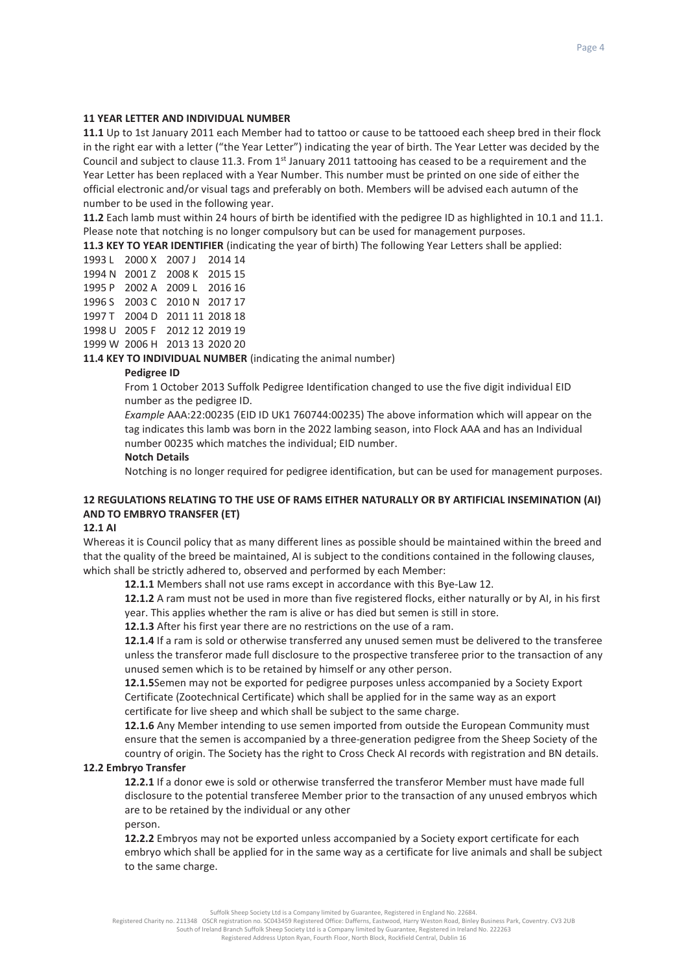### **11 YEAR LETTER AND INDIVIDUAL NUMBER**

**11.1** Up to 1st January 2011 each Member had to tattoo or cause to be tattooed each sheep bred in their flock in the right ear with a letter ("the Year Letter") indicating the year of birth. The Year Letter was decided by the Council and subject to clause 11.3. From  $1<sup>st</sup>$  January 2011 tattooing has ceased to be a requirement and the Year Letter has been replaced with a Year Number. This number must be printed on one side of either the official electronic and/or visual tags and preferably on both. Members will be advised each autumn of the number to be used in the following year.

**11.2** Each lamb must within 24 hours of birth be identified with the pedigree ID as highlighted in 10.1 and 11.1. Please note that notching is no longer compulsory but can be used for management purposes.

**11.3 KEY TO YEAR IDENTIFIER** (indicating the year of birth) The following Year Letters shall be applied:

|  | 1993 L 2000 X 2007 J 2014 14  |  |
|--|-------------------------------|--|
|  | 1994 N 2001 Z 2008 K 2015 15  |  |
|  | 1995 P 2002 A 2009 L 2016 16  |  |
|  | 1996 S 2003 C 2010 N 2017 17  |  |
|  | 1997 T 2004 D 2011 11 2018 18 |  |
|  | 1998 U 2005 F 2012 12 2019 19 |  |
|  | 1999 W 2006 H 2013 13 2020 20 |  |
|  |                               |  |

**11.4 KEY TO INDIVIDUAL NUMBER** (indicating the animal number)

### **Pedigree ID**

From 1 October 2013 Suffolk Pedigree Identification changed to use the five digit individual EID number as the pedigree ID.

*Example* AAA:22:00235 (EID ID UK1 760744:00235) The above information which will appear on the tag indicates this lamb was born in the 2022 lambing season, into Flock AAA and has an Individual number 00235 which matches the individual; EID number.

#### **Notch Details**

Notching is no longer required for pedigree identification, but can be used for management purposes.

# **12 REGULATIONS RELATING TO THE USE OF RAMS EITHER NATURALLY OR BY ARTIFICIAL INSEMINATION (AI) AND TO EMBRYO TRANSFER (ET)**

#### **12.1 AI**

Whereas it is Council policy that as many different lines as possible should be maintained within the breed and that the quality of the breed be maintained, AI is subject to the conditions contained in the following clauses, which shall be strictly adhered to, observed and performed by each Member:

**12.1.1** Members shall not use rams except in accordance with this Bye-Law 12.

**12.1.2** A ram must not be used in more than five registered flocks, either naturally or by AI, in his first year. This applies whether the ram is alive or has died but semen is still in store.

**12.1.3** After his first year there are no restrictions on the use of a ram.

**12.1.4** If a ram is sold or otherwise transferred any unused semen must be delivered to the transferee unless the transferor made full disclosure to the prospective transferee prior to the transaction of any unused semen which is to be retained by himself or any other person.

**12.1.5**Semen may not be exported for pedigree purposes unless accompanied by a Society Export Certificate (Zootechnical Certificate) which shall be applied for in the same way as an export certificate for live sheep and which shall be subject to the same charge.

**12.1.6** Any Member intending to use semen imported from outside the European Community must ensure that the semen is accompanied by a three-generation pedigree from the Sheep Society of the country of origin. The Society has the right to Cross Check AI records with registration and BN details.

#### **12.2 Embryo Transfer**

**12.2.1** If a donor ewe is sold or otherwise transferred the transferor Member must have made full disclosure to the potential transferee Member prior to the transaction of any unused embryos which are to be retained by the individual or any other

person.

**12.2.2** Embryos may not be exported unless accompanied by a Society export certificate for each embryo which shall be applied for in the same way as a certificate for live animals and shall be subject to the same charge.

Suffolk Sheep Society Ltd is a Company limited by Guarantee, Registered in England No. 22684.

Registered Charity no. 211348 OSCR registration no. SC043459 Registered Office: Dafferns, Eastwood, Harry Weston Road, Binley Business Park, Coventry. CV3 2UB<br>South of Ireland Branch Suffolk Sheep Society Ltd is a Compan Registered Address Upton Ryan, Fourth Floor, North Block, Rockfield Central, Dublin 16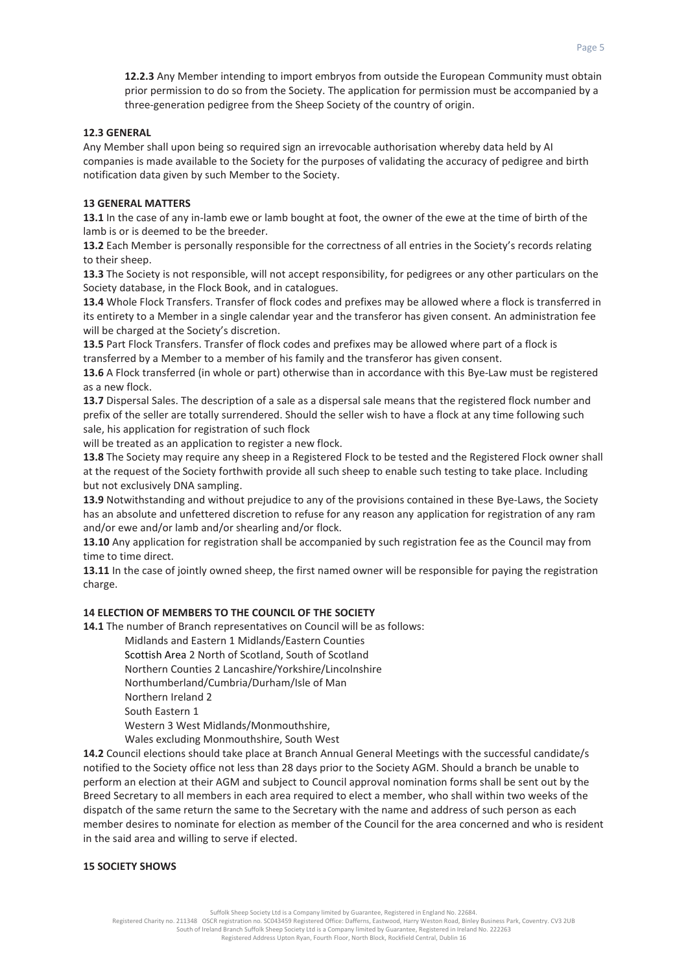**12.2.3** Any Member intending to import embryos from outside the European Community must obtain prior permission to do so from the Society. The application for permission must be accompanied by a three-generation pedigree from the Sheep Society of the country of origin.

## **12.3 GENERAL**

Any Member shall upon being so required sign an irrevocable authorisation whereby data held by AI companies is made available to the Society for the purposes of validating the accuracy of pedigree and birth notification data given by such Member to the Society.

# **13 GENERAL MATTERS**

**13.1** In the case of any in-lamb ewe or lamb bought at foot, the owner of the ewe at the time of birth of the lamb is or is deemed to be the breeder.

**13.2** Each Member is personally responsible for the correctness of all entries in the Society's records relating to their sheep.

**13.3** The Society is not responsible, will not accept responsibility, for pedigrees or any other particulars on the Society database, in the Flock Book, and in catalogues.

**13.4** Whole Flock Transfers. Transfer of flock codes and prefixes may be allowed where a flock is transferred in its entirety to a Member in a single calendar year and the transferor has given consent. An administration fee will be charged at the Society's discretion.

**13.5** Part Flock Transfers. Transfer of flock codes and prefixes may be allowed where part of a flock is transferred by a Member to a member of his family and the transferor has given consent.

**13.6** A Flock transferred (in whole or part) otherwise than in accordance with this Bye-Law must be registered as a new flock.

**13.7** Dispersal Sales. The description of a sale as a dispersal sale means that the registered flock number and prefix of the seller are totally surrendered. Should the seller wish to have a flock at any time following such sale, his application for registration of such flock

will be treated as an application to register a new flock.

**13.8** The Society may require any sheep in a Registered Flock to be tested and the Registered Flock owner shall at the request of the Society forthwith provide all such sheep to enable such testing to take place. Including but not exclusively DNA sampling.

**13.9** Notwithstanding and without prejudice to any of the provisions contained in these Bye-Laws, the Society has an absolute and unfettered discretion to refuse for any reason any application for registration of any ram and/or ewe and/or lamb and/or shearling and/or flock.

**13.10** Any application for registration shall be accompanied by such registration fee as the Council may from time to time direct.

**13.11** In the case of jointly owned sheep, the first named owner will be responsible for paying the registration charge.

# **14 ELECTION OF MEMBERS TO THE COUNCIL OF THE SOCIETY**

**14.1** The number of Branch representatives on Council will be as follows:

Midlands and Eastern 1 Midlands/Eastern Counties

Scottish Area 2 North of Scotland, South of Scotland

Northern Counties 2 Lancashire/Yorkshire/Lincolnshire

Northumberland/Cumbria/Durham/Isle of Man

Northern Ireland 2

South Eastern 1

Western 3 West Midlands/Monmouthshire,

Wales excluding Monmouthshire, South West

**14.2** Council elections should take place at Branch Annual General Meetings with the successful candidate/s notified to the Society office not less than 28 days prior to the Society AGM. Should a branch be unable to perform an election at their AGM and subject to Council approval nomination forms shall be sent out by the Breed Secretary to all members in each area required to elect a member, who shall within two weeks of the dispatch of the same return the same to the Secretary with the name and address of such person as each member desires to nominate for election as member of the Council for the area concerned and who is resident in the said area and willing to serve if elected.

## **15 SOCIETY SHOWS**

Suffolk Sheep Society Ltd is a Company limited by Guarantee, Registered in England No. 22684.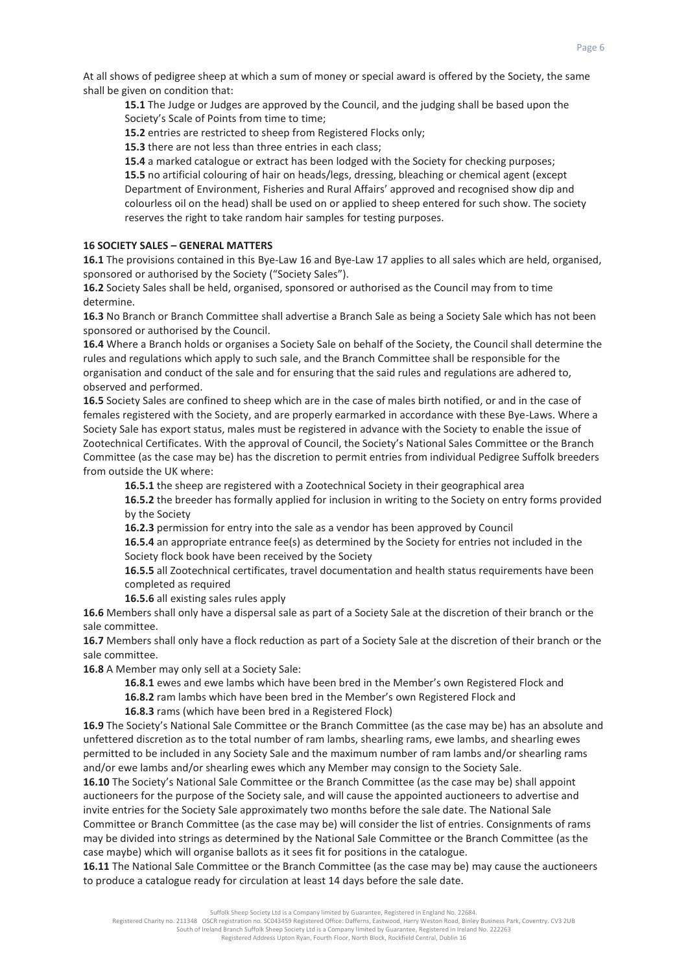At all shows of pedigree sheep at which a sum of money or special award is offered by the Society, the same shall be given on condition that:

**15.1** The Judge or Judges are approved by the Council, and the judging shall be based upon the Society's Scale of Points from time to time;

**15.2** entries are restricted to sheep from Registered Flocks only;

**15.3** there are not less than three entries in each class;

**15.4** a marked catalogue or extract has been lodged with the Society for checking purposes; **15.5** no artificial colouring of hair on heads/legs, dressing, bleaching or chemical agent (except Department of Environment, Fisheries and Rural Affairs' approved and recognised show dip and colourless oil on the head) shall be used on or applied to sheep entered for such show. The society reserves the right to take random hair samples for testing purposes.

# **16 SOCIETY SALES – GENERAL MATTERS**

**16.1** The provisions contained in this Bye-Law 16 and Bye-Law 17 applies to all sales which are held, organised, sponsored or authorised by the Society ("Society Sales").

**16.2** Society Sales shall be held, organised, sponsored or authorised as the Council may from to time determine.

**16.3** No Branch or Branch Committee shall advertise a Branch Sale as being a Society Sale which has not been sponsored or authorised by the Council.

**16.4** Where a Branch holds or organises a Society Sale on behalf of the Society, the Council shall determine the rules and regulations which apply to such sale, and the Branch Committee shall be responsible for the organisation and conduct of the sale and for ensuring that the said rules and regulations are adhered to, observed and performed.

**16.5** Society Sales are confined to sheep which are in the case of males birth notified, or and in the case of females registered with the Society, and are properly earmarked in accordance with these Bye-Laws. Where a Society Sale has export status, males must be registered in advance with the Society to enable the issue of Zootechnical Certificates. With the approval of Council, the Society's National Sales Committee or the Branch Committee (as the case may be) has the discretion to permit entries from individual Pedigree Suffolk breeders from outside the UK where:

**16.5.1** the sheep are registered with a Zootechnical Society in their geographical area

**16.5.2** the breeder has formally applied for inclusion in writing to the Society on entry forms provided by the Society

**16.2.3** permission for entry into the sale as a vendor has been approved by Council

**16.5.4** an appropriate entrance fee(s) as determined by the Society for entries not included in the Society flock book have been received by the Society

**16.5.5** all Zootechnical certificates, travel documentation and health status requirements have been completed as required

**16.5.6** all existing sales rules apply

**16.6** Members shall only have a dispersal sale as part of a Society Sale at the discretion of their branch or the sale committee.

**16.7** Members shall only have a flock reduction as part of a Society Sale at the discretion of their branch or the sale committee.

**16.8** A Member may only sell at a Society Sale:

**16.8.1** ewes and ewe lambs which have been bred in the Member's own Registered Flock and

**16.8.2** ram lambs which have been bred in the Member's own Registered Flock and

**16.8.3** rams (which have been bred in a Registered Flock)

**16.9** The Society's National Sale Committee or the Branch Committee (as the case may be) has an absolute and unfettered discretion as to the total number of ram lambs, shearling rams, ewe lambs, and shearling ewes permitted to be included in any Society Sale and the maximum number of ram lambs and/or shearling rams and/or ewe lambs and/or shearling ewes which any Member may consign to the Society Sale.

**16.10** The Society's National Sale Committee or the Branch Committee (as the case may be) shall appoint auctioneers for the purpose of the Society sale, and will cause the appointed auctioneers to advertise and invite entries for the Society Sale approximately two months before the sale date. The National Sale Committee or Branch Committee (as the case may be) will consider the list of entries. Consignments of rams may be divided into strings as determined by the National Sale Committee or the Branch Committee (as the case maybe) which will organise ballots as it sees fit for positions in the catalogue.

**16.11** The National Sale Committee or the Branch Committee (as the case may be) may cause the auctioneers to produce a catalogue ready for circulation at least 14 days before the sale date.

Suffolk Sheep Society Ltd is a Company limited by Guarantee, Registered in England No. 22684.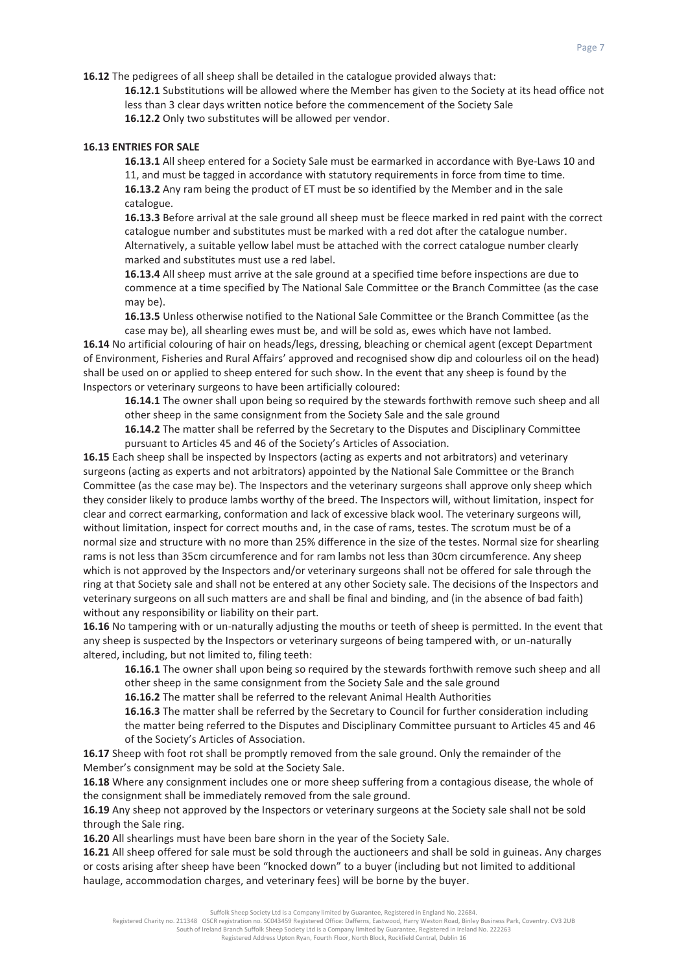**16.12** The pedigrees of all sheep shall be detailed in the catalogue provided always that:

**16.12.1** Substitutions will be allowed where the Member has given to the Society at its head office not less than 3 clear days written notice before the commencement of the Society Sale **16.12.2** Only two substitutes will be allowed per vendor.

# **16.13 ENTRIES FOR SALE**

**16.13.1** All sheep entered for a Society Sale must be earmarked in accordance with Bye-Laws 10 and 11, and must be tagged in accordance with statutory requirements in force from time to time. **16.13.2** Any ram being the product of ET must be so identified by the Member and in the sale catalogue.

**16.13.3** Before arrival at the sale ground all sheep must be fleece marked in red paint with the correct catalogue number and substitutes must be marked with a red dot after the catalogue number. Alternatively, a suitable yellow label must be attached with the correct catalogue number clearly marked and substitutes must use a red label.

**16.13.4** All sheep must arrive at the sale ground at a specified time before inspections are due to commence at a time specified by The National Sale Committee or the Branch Committee (as the case may be).

**16.13.5** Unless otherwise notified to the National Sale Committee or the Branch Committee (as the case may be), all shearling ewes must be, and will be sold as, ewes which have not lambed.

**16.14** No artificial colouring of hair on heads/legs, dressing, bleaching or chemical agent (except Department of Environment, Fisheries and Rural Affairs' approved and recognised show dip and colourless oil on the head) shall be used on or applied to sheep entered for such show. In the event that any sheep is found by the Inspectors or veterinary surgeons to have been artificially coloured:

**16.14.1** The owner shall upon being so required by the stewards forthwith remove such sheep and all other sheep in the same consignment from the Society Sale and the sale ground

**16.14.2** The matter shall be referred by the Secretary to the Disputes and Disciplinary Committee pursuant to Articles 45 and 46 of the Society's Articles of Association.

**16.15** Each sheep shall be inspected by Inspectors (acting as experts and not arbitrators) and veterinary surgeons (acting as experts and not arbitrators) appointed by the National Sale Committee or the Branch Committee (as the case may be). The Inspectors and the veterinary surgeons shall approve only sheep which they consider likely to produce lambs worthy of the breed. The Inspectors will, without limitation, inspect for clear and correct earmarking, conformation and lack of excessive black wool. The veterinary surgeons will, without limitation, inspect for correct mouths and, in the case of rams, testes. The scrotum must be of a normal size and structure with no more than 25% difference in the size of the testes. Normal size for shearling rams is not less than 35cm circumference and for ram lambs not less than 30cm circumference. Any sheep which is not approved by the Inspectors and/or veterinary surgeons shall not be offered for sale through the ring at that Society sale and shall not be entered at any other Society sale. The decisions of the Inspectors and veterinary surgeons on all such matters are and shall be final and binding, and (in the absence of bad faith) without any responsibility or liability on their part.

**16.16** No tampering with or un-naturally adjusting the mouths or teeth of sheep is permitted. In the event that any sheep is suspected by the Inspectors or veterinary surgeons of being tampered with, or un-naturally altered, including, but not limited to, filing teeth:

**16.16.1** The owner shall upon being so required by the stewards forthwith remove such sheep and all other sheep in the same consignment from the Society Sale and the sale ground

**16.16.2** The matter shall be referred to the relevant Animal Health Authorities

**16.16.3** The matter shall be referred by the Secretary to Council for further consideration including the matter being referred to the Disputes and Disciplinary Committee pursuant to Articles 45 and 46 of the Society's Articles of Association.

**16.17** Sheep with foot rot shall be promptly removed from the sale ground. Only the remainder of the Member's consignment may be sold at the Society Sale.

**16.18** Where any consignment includes one or more sheep suffering from a contagious disease, the whole of the consignment shall be immediately removed from the sale ground.

**16.19** Any sheep not approved by the Inspectors or veterinary surgeons at the Society sale shall not be sold through the Sale ring.

**16.20** All shearlings must have been bare shorn in the year of the Society Sale.

**16.21** All sheep offered for sale must be sold through the auctioneers and shall be sold in guineas. Any charges or costs arising after sheep have been "knocked down" to a buyer (including but not limited to additional haulage, accommodation charges, and veterinary fees) will be borne by the buyer.

Suffolk Sheep Society Ltd is a Company limited by Guarantee, Registered in England No. 22684.